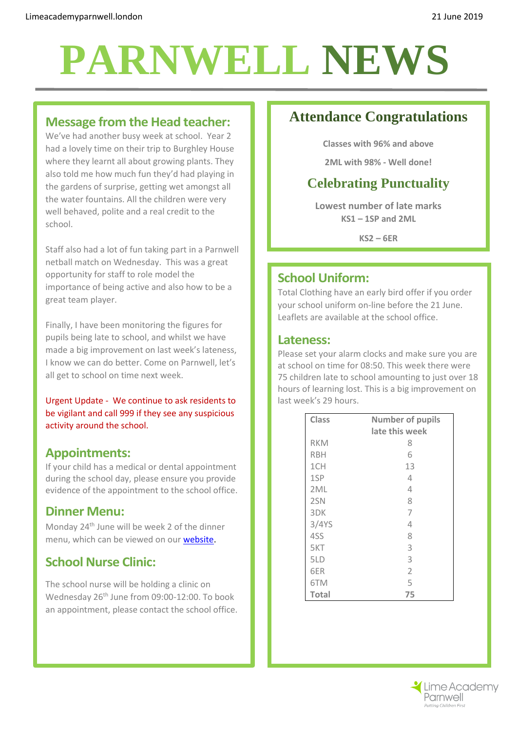## **PARNWELL NEWS**

### **Message from the Head teacher:**

We've had another busy week at school. Year 2 had a lovely time on their trip to Burghley House where they learnt all about growing plants. They also told me how much fun they'd had playing in the gardens of surprise, getting wet amongst all the water fountains. All the children were very well behaved, polite and a real credit to the school.

Staff also had a lot of fun taking part in a Parnwell netball match on Wednesday. This was a great opportunity for staff to role model the importance of being active and also how to be a great team player.

Finally, I have been monitoring the figures for pupils being late to school, and whilst we have made a big improvement on last week's lateness, I know we can do better. Come on Parnwell, let's all get to school on time next week.

Urgent Update - We continue to ask residents to be vigilant and call 999 if they see any suspicious activity around the school.

### **Appointments:**

If your child has a medical or dental appointment during the school day, please ensure you provide evidence of the appointment to the school office.

### **Dinner Menu:**

Monday 24<sup>th</sup> June will be week 2 of the dinner menu, which can be viewed on our [website.](http://limeacademyparnwell.london/media/1997/dinner-menu-2.pdf)

### **School Nurse Clinic:**

The school nurse will be holding a clinic on Wednesday 26<sup>th</sup> June from 09:00-12:00. To book an appointment, please contact the school office.

## **Attendance Congratulations**

**Classes with 96% and above**

**2ML with 98% - Well done!**

## **Celebrating Punctuality**

**Lowest number of late marks KS1 – 1SP and 2ML**

**KS2 – 6ER**

### **School Uniform:**

Total Clothing have an early bird offer if you order your school uniform on-line before the 21 June. Leaflets are available at the school office.

#### **Lateness:**

Please set your alarm clocks and make sure you are at school on time for 08:50. This week there were 75 children late to school amounting to just over 18 hours of learning lost. This is a big improvement on last week's 29 hours.

| <b>Class</b> | <b>Number of pupils</b> |
|--------------|-------------------------|
|              | late this week          |
| <b>RKM</b>   | 8                       |
| <b>RBH</b>   | 6                       |
| 1CH          | 13                      |
| 1SP          | 4                       |
| 2ML          | 4                       |
| 2SN          | 8                       |
| 3DK          | 7                       |
| 3/4YS        | 4                       |
| 4SS          | 8                       |
| 5KT          | 3                       |
| 5LD          | 3                       |
| 6ER          | $\overline{2}$          |
| 6TM          | 5                       |
| <b>Total</b> | 75                      |